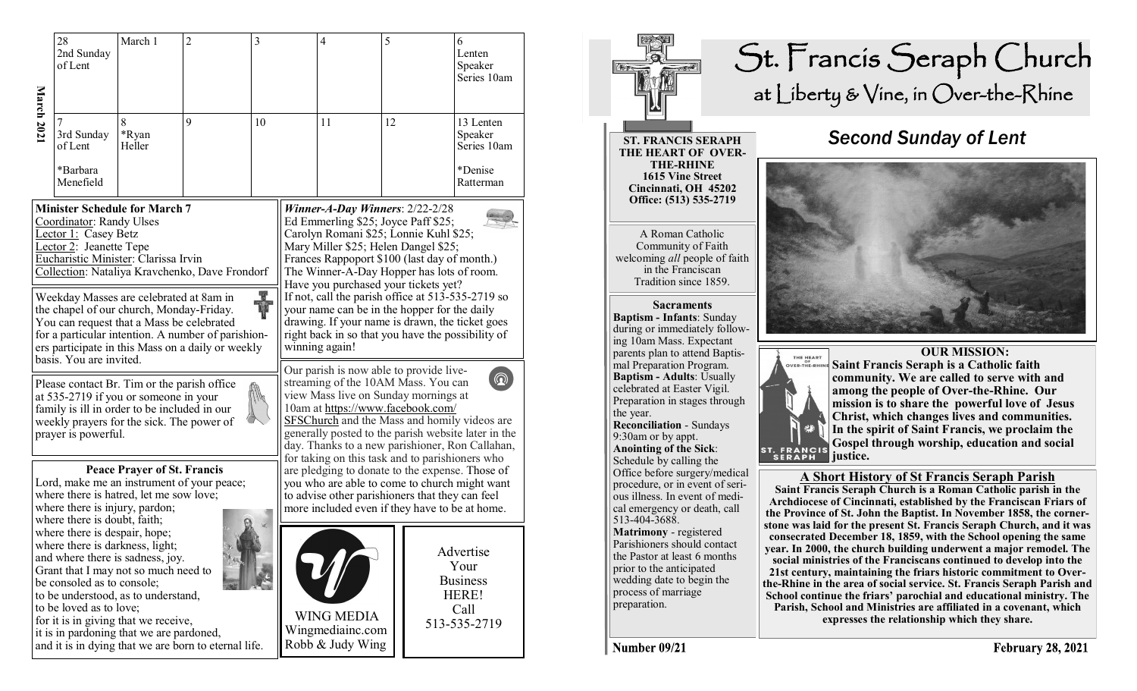|                                                                                                                                                                                                                                                                                                                                                                                                                                                                                                                                                                                             | 28<br>2nd Sunday<br>of Lent                                                                                                                                                                                                                                  | March 1              | $\overline{c}$                                       | 3  |  | $\overline{4}$                                                                                                                                                                                                                                                                                                                                                                                                                                                                                                                                                                                                                                                                                                | 5  |  | 6<br>Lenten<br>Speaker<br>Series 10am                                 |  |
|---------------------------------------------------------------------------------------------------------------------------------------------------------------------------------------------------------------------------------------------------------------------------------------------------------------------------------------------------------------------------------------------------------------------------------------------------------------------------------------------------------------------------------------------------------------------------------------------|--------------------------------------------------------------------------------------------------------------------------------------------------------------------------------------------------------------------------------------------------------------|----------------------|------------------------------------------------------|----|--|---------------------------------------------------------------------------------------------------------------------------------------------------------------------------------------------------------------------------------------------------------------------------------------------------------------------------------------------------------------------------------------------------------------------------------------------------------------------------------------------------------------------------------------------------------------------------------------------------------------------------------------------------------------------------------------------------------------|----|--|-----------------------------------------------------------------------|--|
| March 2021                                                                                                                                                                                                                                                                                                                                                                                                                                                                                                                                                                                  | 3rd Sunday<br>of Lent<br>*Barbara<br>Menefield                                                                                                                                                                                                               | 8<br>*Ryan<br>Heller | 9                                                    | 10 |  | 11                                                                                                                                                                                                                                                                                                                                                                                                                                                                                                                                                                                                                                                                                                            | 12 |  | 13 Lenten<br>Speaker<br>Series 10am<br>*Denise<br>Ratterman           |  |
| <b>Minister Schedule for March 7</b><br>Coordinator: Randy Ulses<br>Lector 1: Casey Betz<br>Lector 2: Jeanette Tepe<br>Eucharistic Minister: Clarissa Irvin<br>Collection: Nataliya Kravchenko, Dave Frondorf<br>Weekday Masses are celebrated at 8am in<br><b>R</b><br>the chapel of our church, Monday-Friday.<br>You can request that a Mass be celebrated<br>for a particular intention. A number of parishion-<br>ers participate in this Mass on a daily or weekly<br>basis. You are invited.<br>Please contact Br. Tim or the parish office<br>at 535-2719 if you or someone in your |                                                                                                                                                                                                                                                              |                      |                                                      |    |  | Winner-A-Day Winners: 2/22-2/28<br>Ed Emmerling \$25; Joyce Paff \$25;<br>Carolyn Romani \$25; Lonnie Kuhl \$25;<br>Mary Miller \$25; Helen Dangel \$25;<br>Frances Rappoport \$100 (last day of month.)<br>The Winner-A-Day Hopper has lots of room.<br>Have you purchased your tickets yet?<br>If not, call the parish office at 513-535-2719 so<br>your name can be in the hopper for the daily<br>drawing. If your name is drawn, the ticket goes<br>right back in so that you have the possibility of<br>winning again!<br>Our parish is now able to provide live-<br>$\circledcirc$<br>streaming of the 10AM Mass. You can<br>view Mass live on Sunday mornings at<br>10am at https://www.facebook.com/ |    |  |                                                                       |  |
|                                                                                                                                                                                                                                                                                                                                                                                                                                                                                                                                                                                             | family is ill in order to be included in our<br>weekly prayers for the sick. The power of<br>prayer is powerful.                                                                                                                                             |                      |                                                      |    |  | SFSChurch and the Mass and homily videos are<br>generally posted to the parish website later in the<br>day. Thanks to a new parishioner, Ron Callahan,                                                                                                                                                                                                                                                                                                                                                                                                                                                                                                                                                        |    |  |                                                                       |  |
| <b>Peace Prayer of St. Francis</b><br>Lord, make me an instrument of your peace;<br>where there is hatred, let me sow love;<br>where there is injury, pardon;<br>where there is doubt, faith;<br>where there is despair, hope;<br>where there is darkness, light;                                                                                                                                                                                                                                                                                                                           |                                                                                                                                                                                                                                                              |                      |                                                      |    |  | for taking on this task and to parishioners who<br>are pledging to donate to the expense. Those of<br>you who are able to come to church might want<br>to advise other parishioners that they can feel<br>more included even if they have to be at home.                                                                                                                                                                                                                                                                                                                                                                                                                                                      |    |  |                                                                       |  |
|                                                                                                                                                                                                                                                                                                                                                                                                                                                                                                                                                                                             | and where there is sadness, joy.<br>Grant that I may not so much need to<br>be consoled as to console;<br>to be understood, as to understand,<br>to be loved as to love;<br>for it is in giving that we receive,<br>it is in pardoning that we are pardoned, |                      | and it is in dying that we are born to eternal life. |    |  | <b>WING MEDIA</b><br>Wingmediainc.com<br>Robb & Judy Wing                                                                                                                                                                                                                                                                                                                                                                                                                                                                                                                                                                                                                                                     |    |  | Advertise<br>Your<br><b>Business</b><br>HERE!<br>Call<br>513-535-2719 |  |



Number 09/21